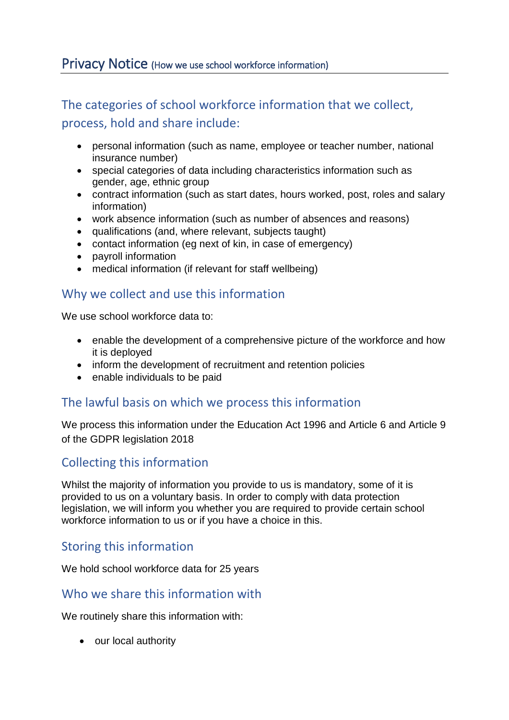## Privacy Notice (How we use school workforce information)

# The categories of school workforce information that we collect, process, hold and share include:

- personal information (such as name, employee or teacher number, national insurance number)
- special categories of data including characteristics information such as gender, age, ethnic group
- contract information (such as start dates, hours worked, post, roles and salary information)
- work absence information (such as number of absences and reasons)
- qualifications (and, where relevant, subjects taught)
- contact information (eg next of kin, in case of emergency)
- payroll information
- medical information (if relevant for staff wellbeing)

## Why we collect and use this information

We use school workforce data to:

- enable the development of a comprehensive picture of the workforce and how it is deployed
- inform the development of recruitment and retention policies
- enable individuals to be paid

#### The lawful basis on which we process this information

We process this information under the Education Act 1996 and Article 6 and Article 9 of the GDPR legislation 2018

## Collecting this information

Whilst the majority of information you provide to us is mandatory, some of it is provided to us on a voluntary basis. In order to comply with data protection legislation, we will inform you whether you are required to provide certain school workforce information to us or if you have a choice in this.

## Storing this information

We hold school workforce data for 25 years

#### Who we share this information with

We routinely share this information with:

• our local authority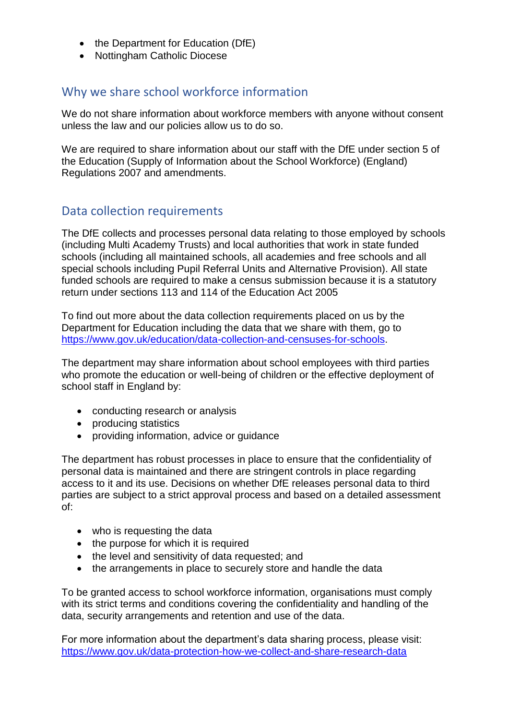- the Department for Education (DfE)
- Nottingham Catholic Diocese

### Why we share school workforce information

We do not share information about workforce members with anyone without consent unless the law and our policies allow us to do so.

We are required to share information about our staff with the DfE under section 5 of the Education (Supply of Information about the School Workforce) (England) Regulations 2007 and amendments.

## Data collection requirements

The DfE collects and processes personal data relating to those employed by schools (including Multi Academy Trusts) and local authorities that work in state funded schools (including all maintained schools, all academies and free schools and all special schools including Pupil Referral Units and Alternative Provision). All state funded schools are required to make a census submission because it is a statutory return under sections 113 and 114 of the Education Act 2005

To find out more about the data collection requirements placed on us by the Department for Education including the data that we share with them, go to [https://www.gov.uk/education/data-collection-and-censuses-for-schools.](https://www.gov.uk/education/data-collection-and-censuses-for-schools)

The department may share information about school employees with third parties who promote the education or well-being of children or the effective deployment of school staff in England by:

- conducting research or analysis
- producing statistics
- providing information, advice or quidance

The department has robust processes in place to ensure that the confidentiality of personal data is maintained and there are stringent controls in place regarding access to it and its use. Decisions on whether DfE releases personal data to third parties are subject to a strict approval process and based on a detailed assessment of:

- who is requesting the data
- the purpose for which it is required
- the level and sensitivity of data requested; and
- the arrangements in place to securely store and handle the data

To be granted access to school workforce information, organisations must comply with its strict terms and conditions covering the confidentiality and handling of the data, security arrangements and retention and use of the data.

For more information about the department's data sharing process, please visit: <https://www.gov.uk/data-protection-how-we-collect-and-share-research-data>